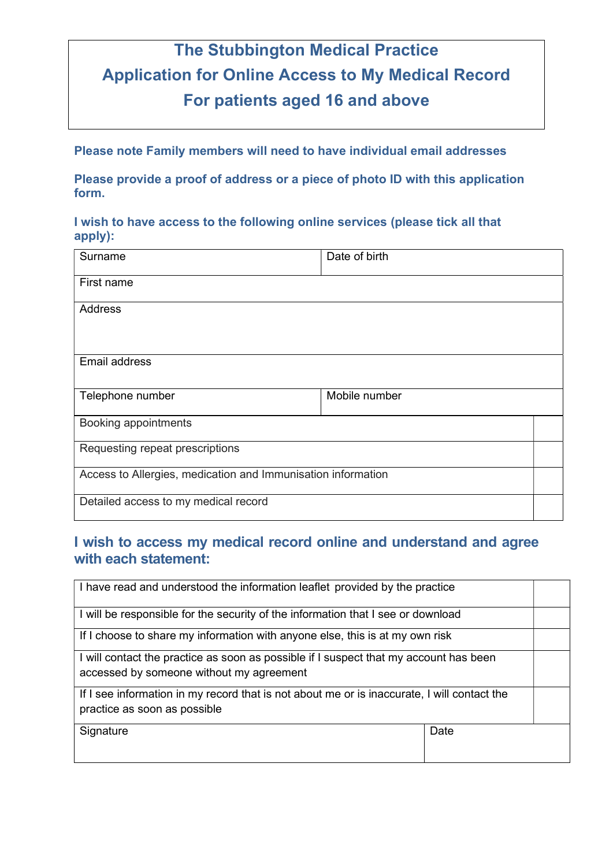# The Stubbington Medical Practice Application for Online Access to My Medical Record For patients aged 16 and above

Please note Family members will need to have individual email addresses

Please provide a proof of address or a piece of photo ID with this application form.

#### I wish to have access to the following online services (please tick all that apply):

| Surname                                                      | Date of birth |  |
|--------------------------------------------------------------|---------------|--|
| First name                                                   |               |  |
| Address                                                      |               |  |
| Email address                                                |               |  |
|                                                              |               |  |
| Telephone number                                             | Mobile number |  |
| Booking appointments                                         |               |  |
| Requesting repeat prescriptions                              |               |  |
| Access to Allergies, medication and Immunisation information |               |  |
| Detailed access to my medical record                         |               |  |

## I wish to access my medical record online and understand and agree with each statement:

| I have read and understood the information leaflet provided by the practice                                                       |      |  |
|-----------------------------------------------------------------------------------------------------------------------------------|------|--|
| I will be responsible for the security of the information that I see or download                                                  |      |  |
| If I choose to share my information with anyone else, this is at my own risk                                                      |      |  |
| I will contact the practice as soon as possible if I suspect that my account has been<br>accessed by someone without my agreement |      |  |
| If I see information in my record that is not about me or is inaccurate, I will contact the<br>practice as soon as possible       |      |  |
| Signature                                                                                                                         | Date |  |